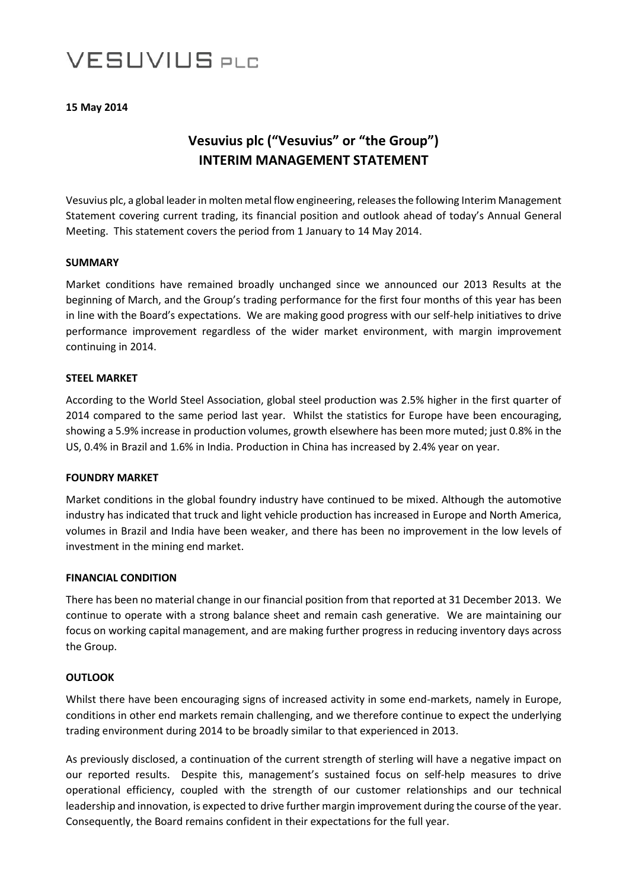# **VESUVIUS PLC**

### **15 May 2014**

# **Vesuvius plc ("Vesuvius" or "the Group") INTERIM MANAGEMENT STATEMENT**

Vesuvius plc, a global leader in molten metal flow engineering, releases the following Interim Management Statement covering current trading, its financial position and outlook ahead of today's Annual General Meeting. This statement covers the period from 1 January to 14 May 2014.

#### **SUMMARY**

Market conditions have remained broadly unchanged since we announced our 2013 Results at the beginning of March, and the Group's trading performance for the first four months of this year has been in line with the Board's expectations. We are making good progress with our self-help initiatives to drive performance improvement regardless of the wider market environment, with margin improvement continuing in 2014.

## **STEEL MARKET**

According to the World Steel Association, global steel production was 2.5% higher in the first quarter of 2014 compared to the same period last year. Whilst the statistics for Europe have been encouraging, showing a 5.9% increase in production volumes, growth elsewhere has been more muted; just 0.8% in the US, 0.4% in Brazil and 1.6% in India. Production in China has increased by 2.4% year on year.

#### **FOUNDRY MARKET**

Market conditions in the global foundry industry have continued to be mixed. Although the automotive industry has indicated that truck and light vehicle production has increased in Europe and North America, volumes in Brazil and India have been weaker, and there has been no improvement in the low levels of investment in the mining end market.

#### **FINANCIAL CONDITION**

There has been no material change in our financial position from that reported at 31 December 2013. We continue to operate with a strong balance sheet and remain cash generative. We are maintaining our focus on working capital management, and are making further progress in reducing inventory days across the Group.

#### **OUTLOOK**

Whilst there have been encouraging signs of increased activity in some end-markets, namely in Europe, conditions in other end markets remain challenging, and we therefore continue to expect the underlying trading environment during 2014 to be broadly similar to that experienced in 2013.

As previously disclosed, a continuation of the current strength of sterling will have a negative impact on our reported results. Despite this, management's sustained focus on self-help measures to drive operational efficiency, coupled with the strength of our customer relationships and our technical leadership and innovation, is expected to drive further margin improvement during the course of the year. Consequently, the Board remains confident in their expectations for the full year.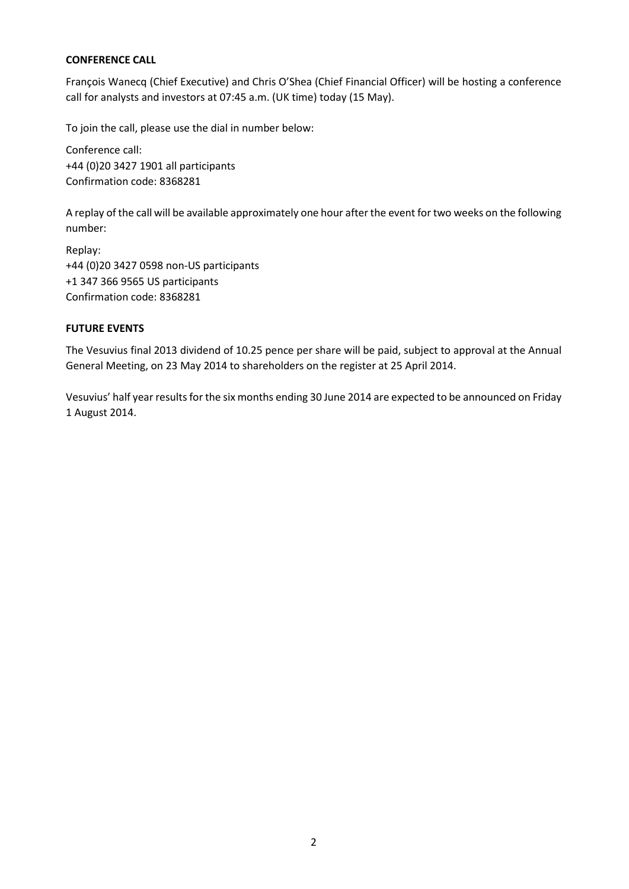# **CONFERENCE CALL**

François Wanecq (Chief Executive) and Chris O'Shea (Chief Financial Officer) will be hosting a conference call for analysts and investors at 07:45 a.m. (UK time) today (15 May).

To join the call, please use the dial in number below:

Conference call: +44 (0)20 3427 1901 all participants Confirmation code: 8368281

A replay of the call will be available approximately one hour after the event for two weeks on the following number:

Replay: +44 (0)20 3427 0598 non-US participants +1 347 366 9565 US participants Confirmation code: 8368281

# **FUTURE EVENTS**

The Vesuvius final 2013 dividend of 10.25 pence per share will be paid, subject to approval at the Annual General Meeting, on 23 May 2014 to shareholders on the register at 25 April 2014.

Vesuvius' half year results for the six months ending 30 June 2014 are expected to be announced on Friday 1 August 2014.